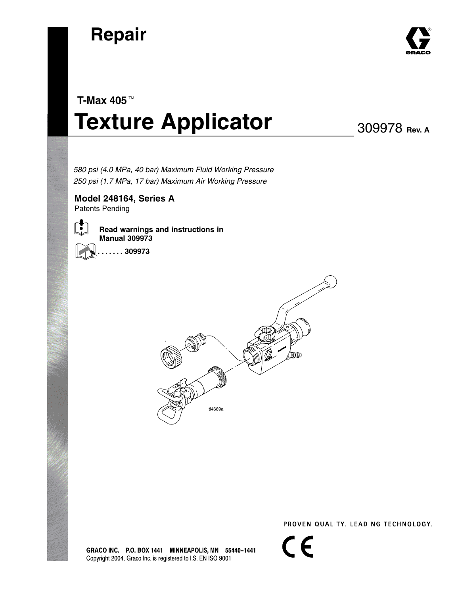



# **T-Max 405 Texture Applicator**

309978 **Rev. A**

 *580 psi (4.0 MPa, 40 bar) Maximum Fluid Working Pressure 250 psi (1.7 MPa, 17 bar) Maximum Air Working Pressure*

**Model 248164, Series A** Patents Pending





**. . . . . . . 309973**



 $\epsilon$ 

GRACO INC. P.O. BOX 1441 MINNEAPOLIS, MN 55440-1441 Copyright 2004, Graco Inc. is registered to I.S. EN ISO 9001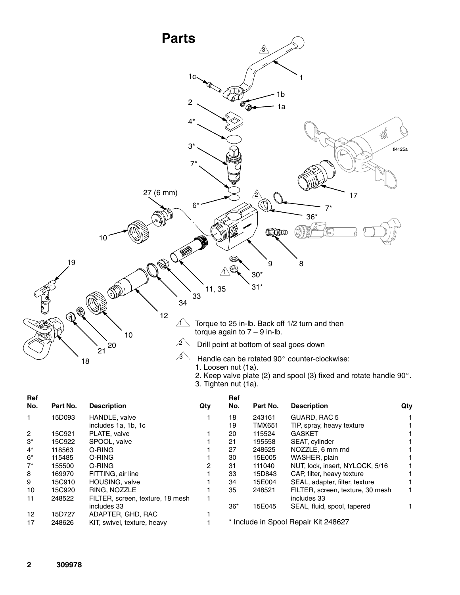

3. Tighten nut (1a).

| Ref            |          |                                  |     | Ref   |               |                                      |     |
|----------------|----------|----------------------------------|-----|-------|---------------|--------------------------------------|-----|
| No.            | Part No. | <b>Description</b>               | Qty | No.   | Part No.      | <b>Description</b>                   | Qty |
| 1.             | 15D093   | HANDLE, valve                    |     | 18    | 243161        | GUARD, RAC 5                         |     |
|                |          | includes 1a, 1b, 1c              |     | 19    | <b>TMX651</b> | TIP, spray, heavy texture            |     |
| $\overline{2}$ | 15C921   | PLATE, valve                     |     | 20    | 115524        | <b>GASKET</b>                        |     |
| $3^*$          | 15C922   | SPOOL, valve                     |     | 21    | 195558        | SEAT, cylinder                       |     |
| $4^*$          | 118563   | O-RING                           |     | 27    | 248525        | NOZZLE, 6 mm rnd                     |     |
| $6*$           | 115485   | O-RING                           |     | 30    | 15E005        | WASHER, plain                        |     |
| $7^*$          | 155500   | O-RING                           |     | 31    | 111040        | NUT, lock, insert, NYLOCK, 5/16      |     |
| 8              | 169970   | FITTING, air line                |     | 33    | 15D843        | CAP, filter, heavy texture           |     |
| 9              | 15C910   | HOUSING, valve                   |     | 34    | 15E004        | SEAL, adapter, filter, texture       |     |
| 10             | 15C920   | RING, NOZZLE                     |     | 35    | 248521        | FILTER, screen, texture, 30 mesh     |     |
| 11             | 248522   | FILTER, screen, texture, 18 mesh |     |       |               | includes 33                          |     |
|                |          | includes 33                      |     | $36*$ | 15E045        | SEAL, fluid, spool, tapered          |     |
| 12             | 15D727   | ADAPTER, GHD, RAC                |     |       |               |                                      |     |
| 17             | 248626   | KIT, swivel, texture, heavy      |     |       |               | * Include in Spool Repair Kit 248627 |     |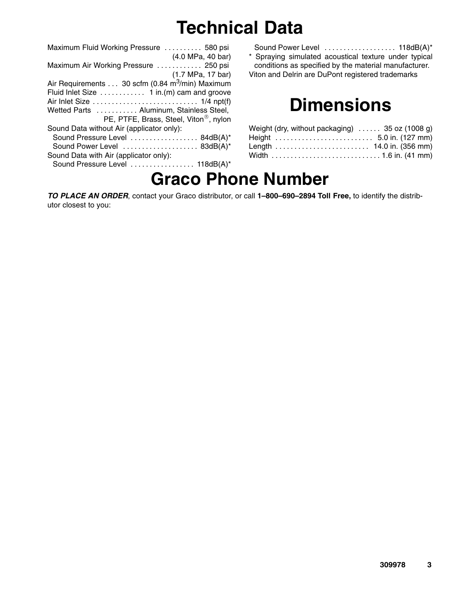## **Technical Data**

| Maximum Fluid Working Pressure  580 psi                     |
|-------------------------------------------------------------|
| (4.0 MPa, 40 bar)                                           |
| Maximum Air Working Pressure  250 psi                       |
| (1.7 MPa, 17 bar)                                           |
| Air Requirements 30 scfm (0.84 m <sup>3</sup> /min) Maximum |
| Fluid Inlet Size 1 in. (m) cam and groove                   |
|                                                             |
| Wetted Parts  Aluminum, Stainless Steel,                    |
| PE, PTFE, Brass, Steel, Viton <sup>®</sup> , nylon          |
| Sound Data without Air (applicator only):                   |
| Sound Pressure Level  84dB(A)*                              |
| Sound Power Level  83dB(A)*                                 |
| Sound Data with Air (applicator only):                      |
| Sound Pressure Level  118dB(A)*                             |

Sound Power Level . . . . . . . . . . . . . . . . . 118dB(A)\* \* Spraying simulated acoustical texture under typical conditions as specified by the material manufacturer. Viton and Delrin are DuPont registered trademarks

### **Dimensions**

| Weight (dry, without packaging) $\ldots$ 35 oz (1008 g) |  |  |
|---------------------------------------------------------|--|--|
| Height  5.0 in. (127 mm)                                |  |  |
| Length  14.0 in. (356 mm)                               |  |  |
| Width  1.6 in. (41 mm)                                  |  |  |

### **Graco Phone Number**

*TO PLACE AN ORDER*, contact your Graco distributor, or call **1–800–690–2894 Toll Free,** to identify the distributor closest to you: